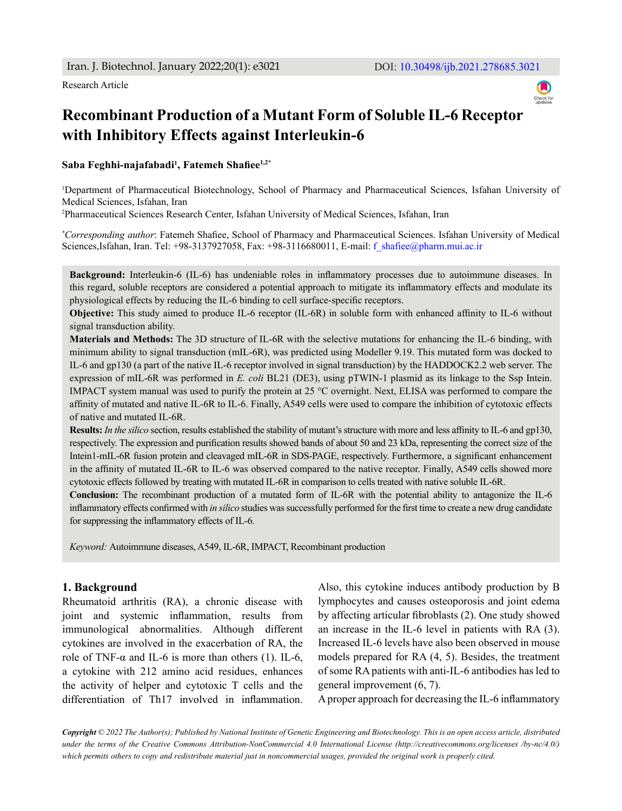Research Article



# **Recombinant Production of a Mutant Form of Soluble IL-6 Receptor with Inhibitory Effects against Interleukin-6**

**Saba Feghhi-najafabadi1 , Fatemeh Shafiee1,2\***

1 Department of Pharmaceutical Biotechnology, School of Pharmacy and Pharmaceutical Sciences, Isfahan University of Medical Sciences, Isfahan, Iran

2 Pharmaceutical Sciences Research Center, Isfahan University of Medical Sciences, Isfahan, Iran

*\* Corresponding author*: Fatemeh Shafiee, School of Pharmacy and Pharmaceutical Sciences. Isfahan University of Medical Sciences,Isfahan, Iran. Tel: +98-3137927058, Fax: +98-3116680011, E-mail: f\_shafiee@pharm.mui.ac.ir

**Background:** Interleukin-6 (IL-6) has undeniable roles in inflammatory processes due to autoimmune diseases. In this regard, soluble receptors are considered a potential approach to mitigate its inflammatory effects and modulate its physiological effects by reducing the IL-6 binding to cell surface-specific receptors.

**Objective:** This study aimed to produce IL-6 receptor (IL-6R) in soluble form with enhanced affinity to IL-6 without signal transduction ability.

**Materials and Methods:** The 3D structure of IL-6R with the selective mutations for enhancing the IL-6 binding, with minimum ability to signal transduction (mIL-6R), was predicted using Modeller 9.19. This mutated form was docked to IL-6 and gp130 (a part of the native IL-6 receptor involved in signal transduction) by the HADDOCK2.2 web server. The expression of mIL-6R was performed in *E. coli* BL21 (DE3), using pTWIN-1 plasmid as its linkage to the Ssp Intein. IMPACT system manual was used to purify the protein at 25 °C overnight. Next, ELISA was performed to compare the affinity of mutated and native IL-6R to IL-6. Finally, A549 cells were used to compare the inhibition of cytotoxic effects of native and mutated IL-6R.

**Results:** *In the silico* section, results established the stability of mutant's structure with more and less affinity to IL-6 and gp130, respectively. The expression and purification results showed bands of about 50 and 23 kDa, representing the correct size of the Intein1-mIL-6R fusion protein and cleavaged mIL-6R in SDS-PAGE, respectively. Furthermore, a significant enhancement in the affinity of mutated IL-6R to IL-6 was observed compared to the native receptor. Finally, A549 cells showed more cytotoxic effects followed by treating with mutated IL-6R in comparison to cells treated with native soluble IL-6R.

**Conclusion:** The recombinant production of a mutated form of IL-6R with the potential ability to antagonize the IL-6 inflammatory effects confirmed with *in silico* studies was successfully performed for the first time to create a new drug candidate for suppressing the inflammatory effects of IL-6.

*Keyword:* Autoimmune diseases, A549, IL-6R, IMPACT, Recombinant production

#### **1. Background**

Rheumatoid arthritis (RA), a chronic disease with joint and systemic inflammation, results from immunological abnormalities. Although different cytokines are involved in the exacerbation of RA, the role of TNF- $\alpha$  and IL-6 is more than others (1). IL-6, a cytokine with 212 amino acid residues, enhances the activity of helper and cytotoxic T cells and the differentiation of Th17 involved in inflammation. Also, this cytokine induces antibody production by B lymphocytes and causes osteoporosis and joint edema by affecting articular fibroblasts (2). One study showed an increase in the IL-6 level in patients with RA (3). Increased IL-6 levels have also been observed in mouse models prepared for RA (4, 5). Besides, the treatment of some RA patients with anti-IL-6 antibodies has led to general improvement (6, 7).

A proper approach for decreasing the IL-6 inflammatory

*Copyright © 2022 The Author(s); Published by National Institute of Genetic Engineering and Biotechnology. This is an open access article, distributed under the terms of the Creative Commons Attribution-NonCommercial 4.0 International License (http://creativecommons.org/licenses /by-nc/4.0/) which permits others to copy and redistribute material just in noncommercial usages, provided the original work is properly cited.*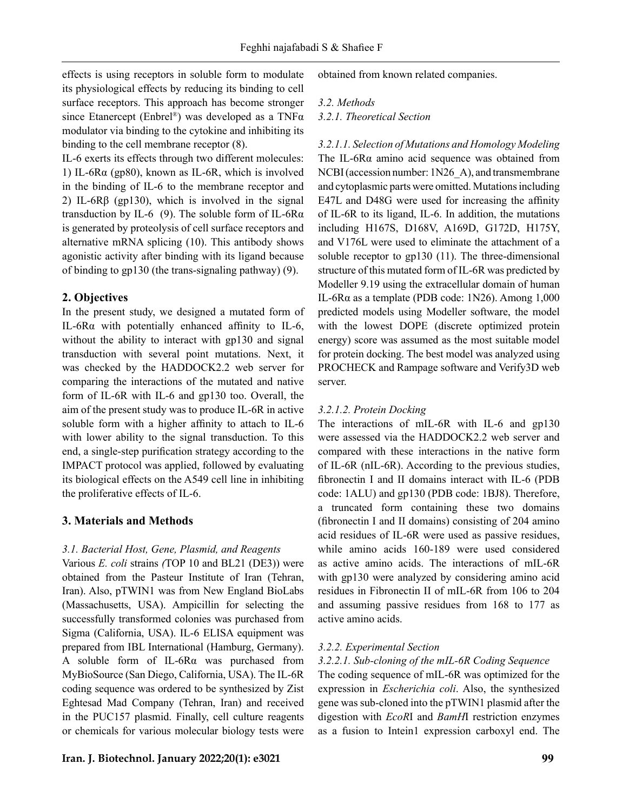effects is using receptors in soluble form to modulate its physiological effects by reducing its binding to cell surface receptors. This approach has become stronger since Etanercept (Enbrel®) was developed as a TNF $\alpha$ modulator via binding to the cytokine and inhibiting its binding to the cell membrane receptor (8).

IL-6 exerts its effects through two different molecules: 1) IL-6Rα (gp80), known as IL-6R, which is involved in the binding of IL-6 to the membrane receptor and 2) IL-6Rβ (gp130), which is involved in the signal transduction by IL-6 (9). The soluble form of IL-6R $\alpha$ is generated by proteolysis of cell surface receptors and alternative mRNA splicing (10). This antibody shows agonistic activity after binding with its ligand because of binding to gp130 (the trans-signaling pathway) (9).

### **2. Objectives**

In the present study, we designed a mutated form of IL-6Rα with potentially enhanced affinity to IL-6, without the ability to interact with gp130 and signal transduction with several point mutations. Next, it was checked by the HADDOCK2.2 web server for comparing the interactions of the mutated and native form of IL-6R with IL-6 and gp130 too. Overall, the aim of the present study was to produce IL-6R in active soluble form with a higher affinity to attach to IL-6 with lower ability to the signal transduction. To this end, a single-step purification strategy according to the IMPACT protocol was applied, followed by evaluating its biological effects on the A549 cell line in inhibiting the proliferative effects of IL-6.

## **3. Materials and Methods**

# *3.1. Bacterial Host, Gene, Plasmid, and Reagents*

Various *E. coli* strains *(*TOP 10 and BL21 (DE3)) were obtained from the Pasteur Institute of Iran (Tehran, Iran). Also, pTWIN1 was from New England BioLabs (Massachusetts, USA). Ampicillin for selecting the successfully transformed colonies was purchased from Sigma (California, USA). IL-6 ELISA equipment was prepared from IBL International (Hamburg, Germany). A soluble form of IL-6Rα was purchased from MyBioSource (San Diego, California, USA). The IL-6R coding sequence was ordered to be synthesized by Zist Eghtesad Mad Company (Tehran, Iran) and received in the PUC157 plasmid. Finally, cell culture reagents or chemicals for various molecular biology tests were obtained from known related companies.

#### *3.2. Methods*

*3.2.1. Theoretical Section*

*3.2.1.1. Selection of Mutations and Homology Modeling* The IL-6Rα amino acid sequence was obtained from NCBI (accession number: 1N26\_A), and transmembrane and cytoplasmic parts were omitted. Mutations including E47L and D48G were used for increasing the affinity of IL-6R to its ligand, IL-6. In addition, the mutations including H167S, D168V, A169D, G172D, H175Y, and V176L were used to eliminate the attachment of a soluble receptor to gp130 (11). The three-dimensional structure of this mutated form of IL-6R was predicted by Modeller 9.19 using the extracellular domain of human IL-6 $R\alpha$  as a template (PDB code: 1N26). Among 1,000 predicted models using Modeller software, the model with the lowest DOPE (discrete optimized protein energy) score was assumed as the most suitable model for protein docking. The best model was analyzed using PROCHECK and Rampage software and Verify3D web server.

#### *3.2.1.2. Protein Docking*

The interactions of mIL-6R with IL-6 and gp130 were assessed via the HADDOCK2.2 web server and compared with these interactions in the native form of IL-6R (nIL-6R). According to the previous studies, fibronectin I and II domains interact with IL-6 (PDB code: 1ALU) and gp130 (PDB code: 1BJ8). Therefore, a truncated form containing these two domains (fibronectin I and II domains) consisting of 204 amino acid residues of IL-6R were used as passive residues, while amino acids 160-189 were used considered as active amino acids. The interactions of mIL-6R with gp130 were analyzed by considering amino acid residues in Fibronectin II of mIL-6R from 106 to 204 and assuming passive residues from 168 to 177 as active amino acids.

#### *3.2.2. Experimental Section*

# *3.2.2.1. Sub-cloning of the mIL-6R Coding Sequence*

The coding sequence of mIL-6R was optimized for the expression in *Escherichia coli*. Also, the synthesized gene was sub-cloned into the pTWIN1 plasmid after the digestion with *EcoR*I and *BamH*I restriction enzymes as a fusion to Intein1 expression carboxyl end. The

### **Iran. J. Biotechnol. January 2022;20(1): e3021 99**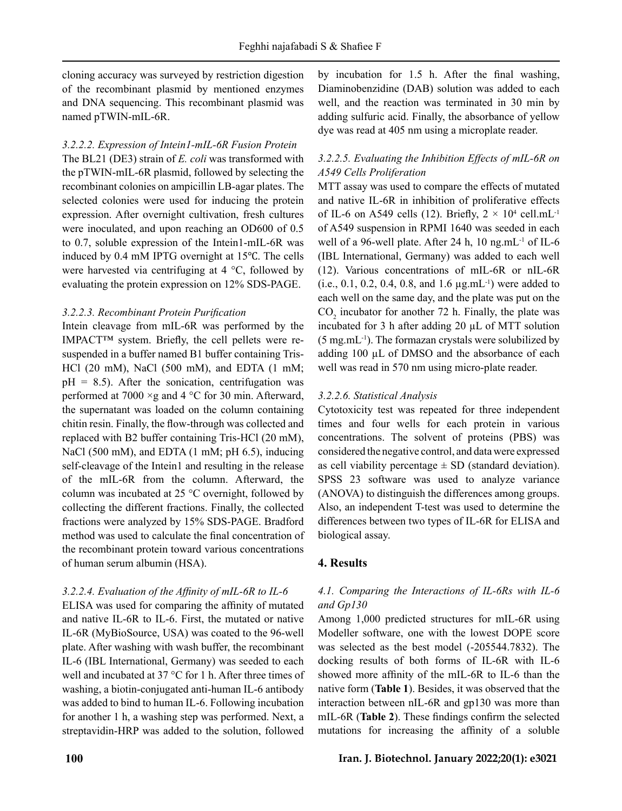cloning accuracy was surveyed by restriction digestion of the recombinant plasmid by mentioned enzymes and DNA sequencing. This recombinant plasmid was named pTWIN-mIL-6R.

### *3.2.2.2. Expression of Intein1-mIL-6R Fusion Protein*

The BL21 (DE3) strain of *E. coli* was transformed with the pTWIN-mIL-6R plasmid, followed by selecting the recombinant colonies on ampicillin LB-agar plates. The selected colonies were used for inducing the protein expression. After overnight cultivation, fresh cultures were inoculated, and upon reaching an OD600 of 0.5 to 0.7, soluble expression of the Intein1-mIL-6R was induced by 0.4 mM IPTG overnight at 15℃. The cells were harvested via centrifuging at 4 °C, followed by evaluating the protein expression on 12% SDS-PAGE.

#### *3.2.2.3. Recombinant Protein Purification*

Intein cleavage from mIL-6R was performed by the IMPACT™ system. Briefly, the cell pellets were resuspended in a buffer named B1 buffer containing Tris-HCl (20 mM), NaCl (500 mM), and EDTA (1 mM;  $pH = 8.5$ ). After the sonication, centrifugation was performed at 7000  $\times$ g and 4 °C for 30 min. Afterward, the supernatant was loaded on the column containing chitin resin. Finally, the flow-through was collected and replaced with B2 buffer containing Tris-HCl (20 mM), NaCl (500 mM), and EDTA (1 mM; pH 6.5), inducing self-cleavage of the Intein1 and resulting in the release of the mIL-6R from the column. Afterward, the column was incubated at 25 °C overnight, followed by collecting the different fractions. Finally, the collected fractions were analyzed by 15% SDS-PAGE. Bradford method was used to calculate the final concentration of the recombinant protein toward various concentrations of human serum albumin (HSA).

# *3.2.2.4. Evaluation of the Affinity of mIL-6R to IL-6*

ELISA was used for comparing the affinity of mutated and native IL-6R to IL-6. First, the mutated or native IL-6R (MyBioSource, USA) was coated to the 96-well plate. After washing with wash buffer, the recombinant IL-6 (IBL International, Germany) was seeded to each well and incubated at 37 °C for 1 h. After three times of washing, a biotin-conjugated anti-human IL-6 antibody was added to bind to human IL-6. Following incubation for another 1 h, a washing step was performed. Next, a streptavidin-HRP was added to the solution, followed by incubation for 1.5 h. After the final washing, Diaminobenzidine (DAB) solution was added to each well, and the reaction was terminated in 30 min by adding sulfuric acid. Finally, the absorbance of yellow dye was read at 405 nm using a microplate reader.

# *3.2.2.5. Evaluating the Inhibition Effects of mIL-6R on A549 Cells Proliferation*

MTT assay was used to compare the effects of mutated and native IL-6R in inhibition of proliferative effects of IL-6 on A549 cells (12). Briefly,  $2 \times 10^4$  cell.mL<sup>-1</sup> of A549 suspension in RPMI 1640 was seeded in each well of a 96-well plate. After 24 h,  $10 \text{ ng.mL}^{-1}$  of IL-6 (IBL International, Germany) was added to each well (12). Various concentrations of mIL-6R or nIL-6R (i.e., 0.1, 0.2, 0.4, 0.8, and 1.6  $\mu$ g.mL<sup>-1</sup>) were added to each well on the same day, and the plate was put on the  $CO<sub>2</sub>$  incubator for another 72 h. Finally, the plate was incubated for 3 h after adding 20 µL of MTT solution  $(5 \text{ mg.mL}^{-1})$ . The formazan crystals were solubilized by adding 100 µL of DMSO and the absorbance of each well was read in 570 nm using micro-plate reader.

# *3.2.2.6. Statistical Analysis*

Cytotoxicity test was repeated for three independent times and four wells for each protein in various concentrations. The solvent of proteins (PBS) was considered the negative control, and data were expressed as cell viability percentage  $\pm$  SD (standard deviation). SPSS 23 software was used to analyze variance (ANOVA) to distinguish the differences among groups. Also, an independent T-test was used to determine the differences between two types of IL-6R for ELISA and biological assay.

# **4. Results**

# *4.1. Comparing the Interactions of IL-6Rs with IL-6 and Gp130*

Among 1,000 predicted structures for mIL-6R using Modeller software, one with the lowest DOPE score was selected as the best model (-205544.7832). The docking results of both forms of IL-6R with IL-6 showed more affinity of the mIL-6R to IL-6 than the native form (**Table 1**). Besides, it was observed that the interaction between nIL-6R and gp130 was more than mIL-6R (**Table 2**). These findings confirm the selected mutations for increasing the affinity of a soluble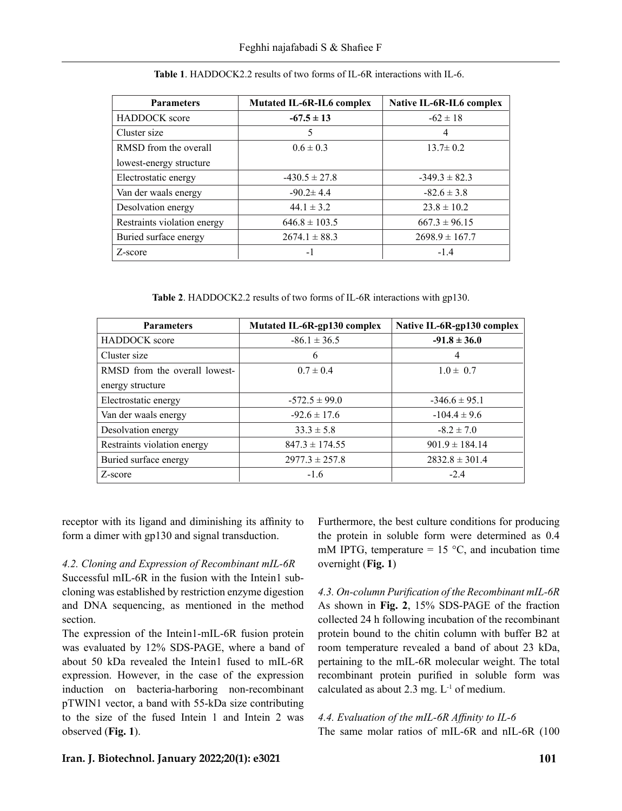| <b>Parameters</b>           | <b>Mutated IL-6R-IL6 complex</b> | Native IL-6R-IL6 complex |
|-----------------------------|----------------------------------|--------------------------|
| <b>HADDOCK</b> score        | $-67.5 \pm 13$                   | $-62 \pm 18$             |
| Cluster size                | 5                                | 4                        |
| RMSD from the overall       | $0.6 \pm 0.3$                    | $13.7 \pm 0.2$           |
| lowest-energy structure     |                                  |                          |
| Electrostatic energy        | $-430.5 \pm 27.8$                | $-349.3 \pm 82.3$        |
| Van der waals energy        | $-90.2 \pm 4.4$                  | $-82.6 \pm 3.8$          |
| Desolvation energy          | $44.1 \pm 3.2$                   | $23.8 \pm 10.2$          |
| Restraints violation energy | $646.8 \pm 103.5$                | $667.3 \pm 96.15$        |
| Buried surface energy       | $2674.1 \pm 88.3$                | $2698.9 \pm 167.7$       |
| Z-score                     | -1                               | $-1.4$                   |

**Table 1**. HADDOCK2.2 results of two forms of IL-6R interactions with IL-6.

**Table 2**. HADDOCK2.2 results of two forms of IL-6R interactions with gp130.

| <b>Parameters</b>             | Mutated IL-6R-gp130 complex | Native IL-6R-gp130 complex |
|-------------------------------|-----------------------------|----------------------------|
| <b>HADDOCK</b> score          | $-86.1 \pm 36.5$            | $-91.8 \pm 36.0$           |
| Cluster size                  | 6                           | 4                          |
| RMSD from the overall lowest- | $0.7 \pm 0.4$               | $1.0 \pm 0.7$              |
| energy structure              |                             |                            |
| Electrostatic energy          | $-572.5 \pm 99.0$           | $-346.6 \pm 95.1$          |
| Van der waals energy          | $-92.6 \pm 17.6$            | $-104.4 \pm 9.6$           |
| Desolvation energy            | $33.3 \pm 5.8$              | $-8.2 \pm 7.0$             |
| Restraints violation energy   | $847.3 \pm 174.55$          | $901.9 \pm 184.14$         |
| Buried surface energy         | $2977.3 \pm 257.8$          | $2832.8 \pm 301.4$         |
| Z-score                       | $-1.6$                      | $-2.4$                     |

receptor with its ligand and diminishing its affinity to form a dimer with gp130 and signal transduction.

*4.2. Cloning and Expression of Recombinant mIL-6R* 

Successful mIL-6R in the fusion with the Intein1 subcloning was established by restriction enzyme digestion and DNA sequencing, as mentioned in the method section.

The expression of the Intein1-mIL-6R fusion protein was evaluated by 12% SDS-PAGE, where a band of about 50 kDa revealed the Intein1 fused to mIL-6R expression. However, in the case of the expression induction on bacteria-harboring non-recombinant pTWIN1 vector, a band with 55-kDa size contributing to the size of the fused Intein 1 and Intein 2 was observed (**Fig. 1**).

Furthermore, the best culture conditions for producing the protein in soluble form were determined as 0.4 mM IPTG, temperature  $= 15 \degree C$ , and incubation time overnight (**Fig. 1**)

*4.3. On-column Purification of the Recombinant mIL-6R* As shown in **Fig. 2**, 15% SDS-PAGE of the fraction collected 24 h following incubation of the recombinant protein bound to the chitin column with buffer B2 at room temperature revealed a band of about 23 kDa, pertaining to the mIL-6R molecular weight. The total recombinant protein purified in soluble form was calculated as about 2.3 mg.  $L^{-1}$  of medium.

*4.4. Evaluation of the mIL-6R Affinity to IL-6* The same molar ratios of mIL-6R and nIL-6R (100

# **Iran. J. Biotechnol. January 2022;20(1): e3021 101**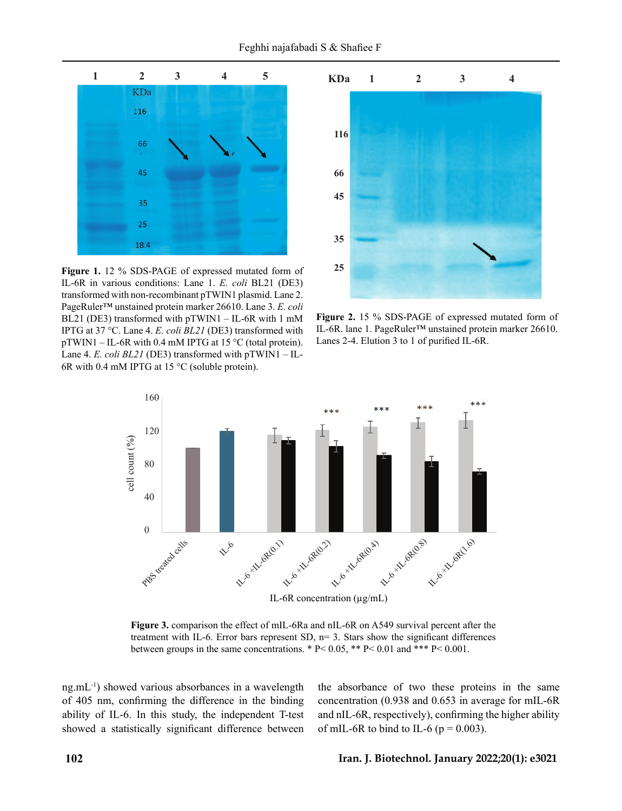

**Figure 1.** 12 % SDS-PAGE of expressed mutated form of IL-6R in various conditions: Lane 1. *E. coli* BL21 (DE3) transformed with non-recombinant pTWIN1 plasmid. Lane 2. PageRuler™ unstained protein marker 26610. Lane 3. *E. coli* BL21 (DE3) transformed with pTWIN1 – IL-6R with 1 mM IPTG at 37 °C. Lane 4. *E. coli BL21* (DE3) transformed with pTWIN1 – IL-6R with 0.4 mM IPTG at 15 °C (total protein). Lane 4. *E. coli BL21* (DE3) transformed with pTWIN1 – IL-6R with 0.4 mM IPTG at 15 °C (soluble protein).



**Figure 2.** 15 % SDS-PAGE of expressed mutated form of IL-6R. lane 1. PageRuler™ unstained protein marker 26610. Lanes 2-4. Elution 3 to 1 of purified IL-6R.



Figure 3. comparison the effect of mIL-6Ra and nIL-6R on A549 survival percent after the treatment with IL-6. Error bars represent SD,  $n=3$ . Stars show the significant differences between groups in the same concentrations. \* P< 0.05, \*\* P< 0.01 and \*\*\* P< 0.001.

ng.mL-1) showed various absorbances in a wavelength of 405 nm, confirming the difference in the binding ability of IL-6. In this study, the independent T-test showed a statistically significant difference between the absorbance of two these proteins in the same concentration (0.938 and 0.653 in average for mIL-6R and nIL-6R, respectively), confirming the higher ability of mIL-6R to bind to IL-6 ( $p = 0.003$ ).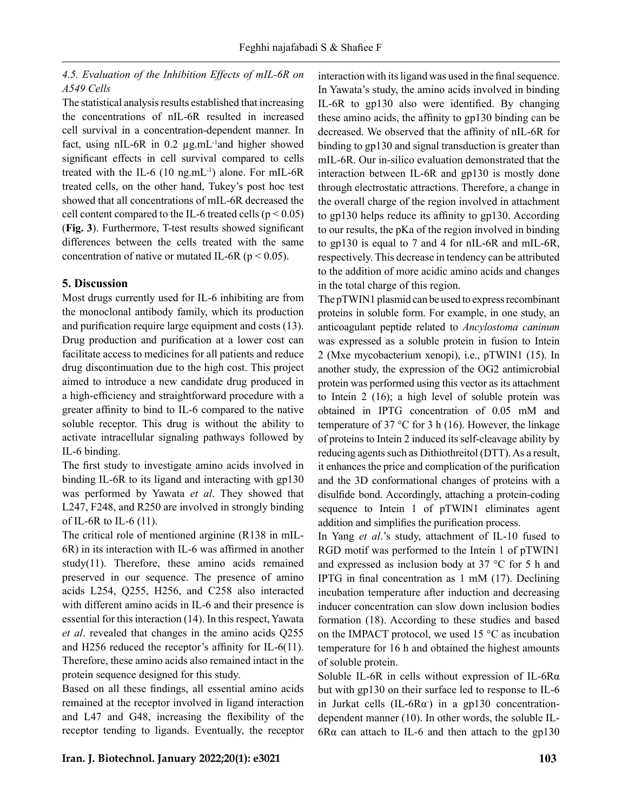# *4.5. Evaluation of the Inhibition Effects of mIL-6R on A549 Cells*

The statistical analysis results established that increasing the concentrations of nIL-6R resulted in increased cell survival in a concentration-dependent manner. In fact, using nIL-6R in 0.2 µg.mL-1and higher showed significant effects in cell survival compared to cells treated with the IL-6  $(10 \text{ ng.mL}^{-1})$  alone. For mIL-6R treated cells, on the other hand, Tukey's post hoc test showed that all concentrations of mIL-6R decreased the cell content compared to the IL-6 treated cells ( $p < 0.05$ ) (**Fig. 3**). Furthermore, T-test results showed significant differences between the cells treated with the same concentration of native or mutated IL-6R ( $p < 0.05$ ).

# **5. Discussion**

Most drugs currently used for IL-6 inhibiting are from the monoclonal antibody family, which its production and purification require large equipment and costs (13). Drug production and purification at a lower cost can facilitate access to medicines for all patients and reduce drug discontinuation due to the high cost. This project aimed to introduce a new candidate drug produced in a high-efficiency and straightforward procedure with a greater affinity to bind to IL-6 compared to the native soluble receptor. This drug is without the ability to activate intracellular signaling pathways followed by IL-6 binding.

The first study to investigate amino acids involved in binding IL-6R to its ligand and interacting with gp130 was performed by Yawata *et al*. They showed that L247, F248, and R250 are involved in strongly binding of IL-6R to IL-6  $(11)$ .

The critical role of mentioned arginine (R138 in mIL-6R) in its interaction with IL-6 was affirmed in another study(11). Therefore, these amino acids remained preserved in our sequence. The presence of amino acids L254, Q255, H256, and C258 also interacted with different amino acids in IL-6 and their presence is essential for this interaction (14). In this respect, Yawata *et al*. revealed that changes in the amino acids Q255 and H256 reduced the receptor's affinity for IL-6(11). Therefore, these amino acids also remained intact in the protein sequence designed for this study.

Based on all these findings, all essential amino acids remained at the receptor involved in ligand interaction and L47 and G48, increasing the flexibility of the receptor tending to ligands. Eventually, the receptor interaction with its ligand was used in the final sequence. In Yawata's study, the amino acids involved in binding IL-6R to gp130 also were identified. By changing these amino acids, the affinity to gp130 binding can be decreased. We observed that the affinity of nIL-6R for binding to gp130 and signal transduction is greater than mIL-6R. Our in-silico evaluation demonstrated that the interaction between IL-6R and gp130 is mostly done through electrostatic attractions. Therefore, a change in the overall charge of the region involved in attachment to gp130 helps reduce its affinity to gp130. According to our results, the pKa of the region involved in binding to gp130 is equal to 7 and 4 for nIL-6R and mIL-6R, respectively. This decrease in tendency can be attributed to the addition of more acidic amino acids and changes in the total charge of this region.

The pTWIN1 plasmid can be used to express recombinant proteins in soluble form. For example, in one study, an anticoagulant peptide related to *Ancylostoma caninum* was expressed as a soluble protein in fusion to Intein 2 (Mxe mycobacterium xenopi), i.e., pTWIN1 (15). In another study, the expression of the OG2 antimicrobial protein was performed using this vector as its attachment to Intein 2 (16); a high level of soluble protein was obtained in IPTG concentration of 0.05 mM and temperature of 37  $\degree$ C for 3 h (16). However, the linkage of proteins to Intein 2 induced its self-cleavage ability by reducing agents such as Dithiothreitol (DTT). As a result, it enhances the price and complication of the purification and the 3D conformational changes of proteins with a disulfide bond. Accordingly, attaching a protein-coding sequence to Intein 1 of pTWIN1 eliminates agent addition and simplifies the purification process.

In Yang *et al*.'s study, attachment of IL-10 fused to RGD motif was performed to the Intein 1 of pTWIN1 and expressed as inclusion body at 37 °C for 5 h and IPTG in final concentration as 1 mM (17). Declining incubation temperature after induction and decreasing inducer concentration can slow down inclusion bodies formation (18). According to these studies and based on the IMPACT protocol, we used 15 °C as incubation temperature for 16 h and obtained the highest amounts of soluble protein.

Soluble IL-6R in cells without expression of IL-6Rα but with gp130 on their surface led to response to IL-6 in Jurkat cells (IL-6R $\alpha$ ) in a gp130 concentrationdependent manner (10). In other words, the soluble IL-6Rα can attach to IL-6 and then attach to the gp130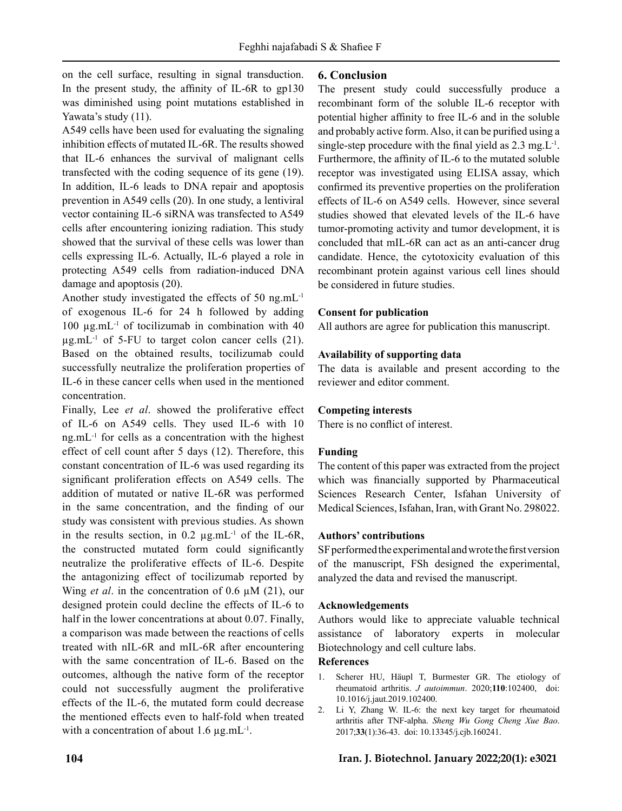on the cell surface, resulting in signal transduction. In the present study, the affinity of IL-6R to gp130 was diminished using point mutations established in Yawata's study (11).

A549 cells have been used for evaluating the signaling inhibition effects of mutated IL-6R. The results showed that IL-6 enhances the survival of malignant cells transfected with the coding sequence of its gene (19). In addition, IL-6 leads to DNA repair and apoptosis prevention in A549 cells (20). In one study, a lentiviral vector containing IL-6 siRNA was transfected to A549 cells after encountering ionizing radiation. This study showed that the survival of these cells was lower than cells expressing IL-6. Actually, IL-6 played a role in protecting A549 cells from radiation-induced DNA damage and apoptosis (20).

Another study investigated the effects of 50 ng.mL-1 of exogenous IL-6 for 24 h followed by adding 100  $\mu$ g.mL<sup>-1</sup> of tocilizumab in combination with 40  $\mu$ g.mL<sup>-1</sup> of 5-FU to target colon cancer cells (21). Based on the obtained results, tocilizumab could successfully neutralize the proliferation properties of IL-6 in these cancer cells when used in the mentioned concentration.

Finally, Lee *et al*. showed the proliferative effect of IL-6 on A549 cells. They used IL-6 with 10 ng.mL-1 for cells as a concentration with the highest effect of cell count after 5 days (12). Therefore, this constant concentration of IL-6 was used regarding its significant proliferation effects on A549 cells. The addition of mutated or native IL-6R was performed in the same concentration, and the finding of our study was consistent with previous studies. As shown in the results section, in  $0.2 \mu$ g.mL<sup>-1</sup> of the IL-6R, the constructed mutated form could significantly neutralize the proliferative effects of IL-6. Despite the antagonizing effect of tocilizumab reported by Wing *et al*. in the concentration of 0.6 µM (21), our designed protein could decline the effects of IL-6 to half in the lower concentrations at about 0.07. Finally, a comparison was made between the reactions of cells treated with nIL-6R and mIL-6R after encountering with the same concentration of IL-6. Based on the outcomes, although the native form of the receptor could not successfully augment the proliferative effects of the IL-6, the mutated form could decrease the mentioned effects even to half-fold when treated with a concentration of about  $1.6 \mu g.mL^{-1}$ .

# **6. Conclusion**

The present study could successfully produce a recombinant form of the soluble IL-6 receptor with potential higher affinity to free IL-6 and in the soluble and probably active form. Also, it can be purified using a single-step procedure with the final yield as  $2.3 \text{ mg}$ . L<sup>-1</sup>. Furthermore, the affinity of IL-6 to the mutated soluble receptor was investigated using ELISA assay, which confirmed its preventive properties on the proliferation effects of IL-6 on A549 cells. However, since several studies showed that elevated levels of the IL-6 have tumor-promoting activity and tumor development, it is concluded that mIL-6R can act as an anti-cancer drug candidate. Hence, the cytotoxicity evaluation of this recombinant protein against various cell lines should be considered in future studies.

# **Consent for publication**

All authors are agree for publication this manuscript.

# **Availability of supporting data**

The data is available and present according to the reviewer and editor comment.

# **Competing interests**

There is no conflict of interest.

# **Funding**

The content of this paper was extracted from the project which was financially supported by Pharmaceutical Sciences Research Center, Isfahan University of Medical Sciences, Isfahan, Iran, with Grant No. 298022.

# **Authors' contributions**

SF performed the experimental and wrote the first version of the manuscript, FSh designed the experimental, analyzed the data and revised the manuscript.

# **Acknowledgements**

Authors would like to appreciate valuable technical assistance of laboratory experts in molecular Biotechnology and cell culture labs.

# **References**

- 1. Scherer HU, Häupl T, Burmester GR. The etiology of rheumatoid arthritis. *J autoimmun*. 2020;**110**:102400, doi: 10.1016/j.jaut.2019.102400.
- 2. Li Y, Zhang W. IL-6: the next key target for rheumatoid arthritis after TNF-alpha. *Sheng Wu Gong Cheng Xue Bao*. 2017;**33**(1):36-43. doi: 10.13345/j.cjb.160241.

# **104 Iran. J. Biotechnol. January 2022;20(1): e3021**